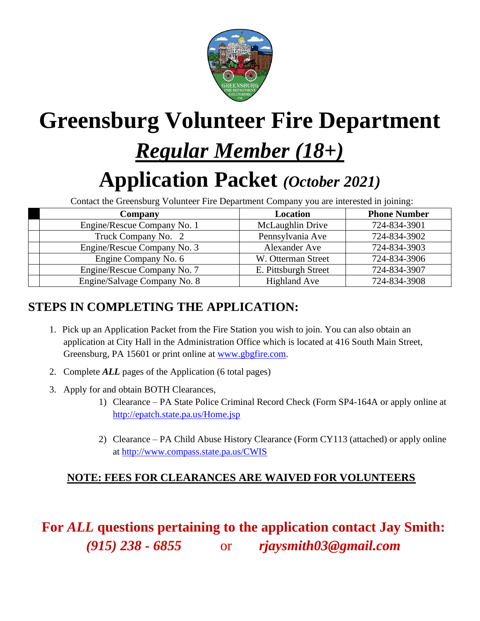

# **Greensburg Volunteer Fire Department**

# *Regular Member (18+)*

# **Application Packet** *(October 2021)*

Contact the Greensburg Volunteer Fire Department Company you are interested in joining:

| <b>Company</b>               | <b>Location</b>      | <b>Phone Number</b> |  |
|------------------------------|----------------------|---------------------|--|
| Engine/Rescue Company No. 1  | McLaughlin Drive     | 724-834-3901        |  |
| Truck Company No. 2          | Pennsylvania Ave     | 724-834-3902        |  |
| Engine/Rescue Company No. 3  | Alexander Ave        | 724-834-3903        |  |
| Engine Company No. 6         | W. Otterman Street   | 724-834-3906        |  |
| Engine/Rescue Company No. 7  | E. Pittsburgh Street | 724-834-3907        |  |
| Engine/Salvage Company No. 8 | <b>Highland Ave</b>  | 724-834-3908        |  |

### **STEPS IN COMPLETING THE APPLICATION:**

- 1. Pick up an Application Packet from the Fire Station you wish to join. You can also obtain an application at City Hall in the Administration Office which is located at 416 South Main Street, Greensburg, PA 15601 or print online at [www.gbgfire.com.](http://www.gbgfire.com/)
- 2. Complete *ALL* pages of the Application (6 total pages)
- 3. Apply for and obtain BOTH Clearances,
	- 1) Clearance PA State Police Criminal Record Check (Form SP4-164A or apply online at <http://epatch.state.pa.us/Home.jsp>
	- 2) Clearance PA Child Abuse History Clearance (Form CY113 (attached) or apply online at<http://www.compass.state.pa.us/CWIS>

#### **NOTE: FEES FOR CLEARANCES ARE WAIVED FOR VOLUNTEERS**

**For** *ALL* **questions pertaining to the application contact Jay Smith:** *(915) 238 - 6855*or *rjaysmith03@gmail.com*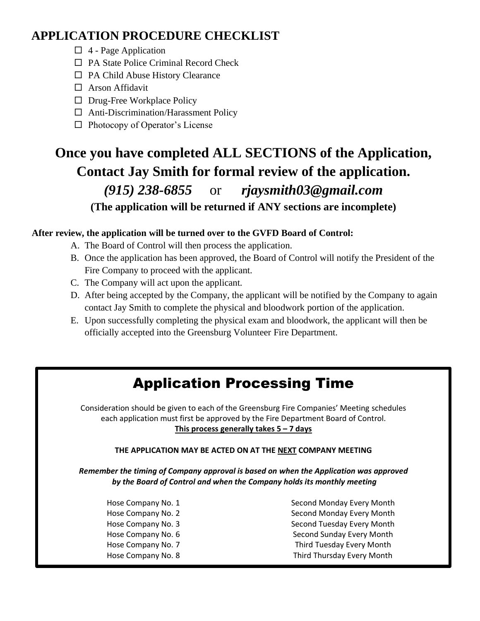### **APPLICATION PROCEDURE CHECKLIST**

- $\Box$  4 Page Application
- □ PA State Police Criminal Record Check
- $\Box$  PA Child Abuse History Clearance
- □ Arson Affidavit
- $\Box$  Drug-Free Workplace Policy
- Anti-Discrimination/Harassment Policy
- $\Box$  Photocopy of Operator's License

### **Once you have completed ALL SECTIONS of the Application, Contact Jay Smith for formal review of the application.** *(915) 238-6855* or *rjaysmith03@gmail.com* **(The application will be returned if ANY sections are incomplete)**

#### **After review, the application will be turned over to the GVFD Board of Control:**

- A. The Board of Control will then process the application.
- B. Once the application has been approved, the Board of Control will notify the President of the Fire Company to proceed with the applicant.
- C. The Company will act upon the applicant.
- D. After being accepted by the Company, the applicant will be notified by the Company to again contact Jay Smith to complete the physical and bloodwork portion of the application.
- E. Upon successfully completing the physical exam and bloodwork, the applicant will then be officially accepted into the Greensburg Volunteer Fire Department.

### Application Processing Time

Consideration should be given to each of the Greensburg Fire Companies' Meeting schedules each application must first be approved by the Fire Department Board of Control. **This process generally takes 5 – 7 days**

#### **THE APPLICATION MAY BE ACTED ON AT THE NEXT COMPANY MEETING**

*Remember the timing of Company approval is based on when the Application was approved by the Board of Control and when the Company holds its monthly meeting*

- 
- Hose Company No. 1 Second Monday Every Month Hose Company No. 2 Second Monday Every Month Hose Company No. 3 Second Tuesday Every Month Hose Company No. 6 Second Sunday Every Month Hose Company No. 7 Third Tuesday Every Month Hose Company No. 8 Third Thursday Every Month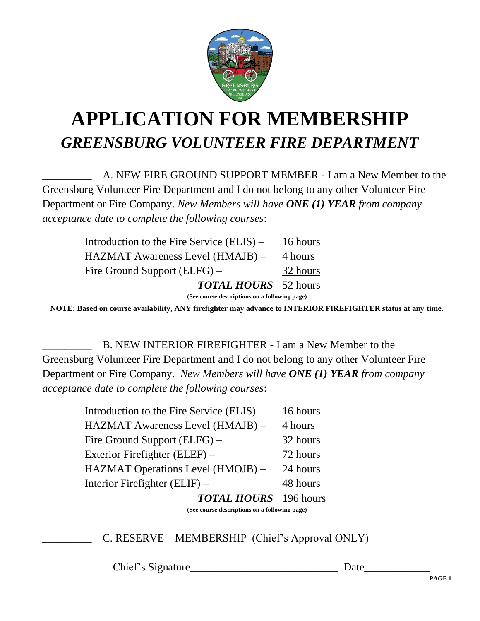

# **APPLICATION FOR MEMBERSHIP** *GREENSBURG VOLUNTEER FIRE DEPARTMENT*

A. NEW FIRE GROUND SUPPORT MEMBER - I am a New Member to the Greensburg Volunteer Fire Department and I do not belong to any other Volunteer Fire Department or Fire Company. *New Members will have ONE (1) YEAR from company acceptance date to complete the following courses*:

| Introduction to the Fire Service $(ELIS)$ – | 16 hours |
|---------------------------------------------|----------|
| HAZMAT Awareness Level (HMAJB) –            | 4 hours  |
| Fire Ground Support (ELFG) –                | 32 hours |
| <b>TOTAL HOURS</b> 52 hours                 |          |
|                                             |          |

**(See course descriptions on a following page)**

**NOTE: Based on course availability, ANY firefighter may advance to INTERIOR FIREFIGHTER status at any time.**

B. NEW INTERIOR FIREFIGHTER - I am a New Member to the Greensburg Volunteer Fire Department and I do not belong to any other Volunteer Fire Department or Fire Company. *New Members will have ONE (1) YEAR from company acceptance date to complete the following courses*:

| Introduction to the Fire Service (ELIS) – | 16 hours  |
|-------------------------------------------|-----------|
| HAZMAT Awareness Level (HMAJB) -          | 4 hours   |
| Fire Ground Support (ELFG) –              | 32 hours  |
| Exterior Firefighter (ELEF) –             | 72 hours  |
| HAZMAT Operations Level (HMOJB) –         | 24 hours  |
| Interior Firefighter $(ELIF)$ –           | 48 hours  |
| <b>TOTAL HOURS</b>                        | 196 hours |

**(See course descriptions on a following page)**

C. RESERVE – MEMBERSHIP (Chief's Approval ONLY)

Chief's Signature Date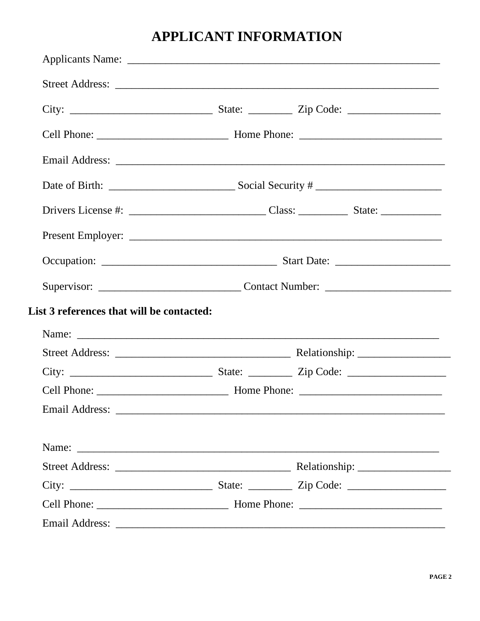### **APPLICANT INFORMATION**

|                                           |                                                                                   | Drivers License #: $\frac{1}{2}$ $\frac{1}{2}$ $\frac{1}{2}$ $\frac{1}{2}$ $\frac{1}{2}$ $\frac{1}{2}$ $\frac{1}{2}$ $\frac{1}{2}$ $\frac{1}{2}$ $\frac{1}{2}$ $\frac{1}{2}$ $\frac{1}{2}$ $\frac{1}{2}$ $\frac{1}{2}$ $\frac{1}{2}$ $\frac{1}{2}$ $\frac{1}{2}$ $\frac{1}{2}$ $\frac{1}{2}$ $\frac{1}{2}$ $\$ |  |
|-------------------------------------------|-----------------------------------------------------------------------------------|----------------------------------------------------------------------------------------------------------------------------------------------------------------------------------------------------------------------------------------------------------------------------------------------------------------|--|
|                                           |                                                                                   |                                                                                                                                                                                                                                                                                                                |  |
|                                           |                                                                                   |                                                                                                                                                                                                                                                                                                                |  |
|                                           | Supervisor: __________________________________Contact Number: ___________________ |                                                                                                                                                                                                                                                                                                                |  |
| List 3 references that will be contacted: |                                                                                   |                                                                                                                                                                                                                                                                                                                |  |
|                                           |                                                                                   |                                                                                                                                                                                                                                                                                                                |  |
|                                           |                                                                                   |                                                                                                                                                                                                                                                                                                                |  |
|                                           |                                                                                   |                                                                                                                                                                                                                                                                                                                |  |
|                                           |                                                                                   |                                                                                                                                                                                                                                                                                                                |  |
|                                           |                                                                                   |                                                                                                                                                                                                                                                                                                                |  |
|                                           |                                                                                   |                                                                                                                                                                                                                                                                                                                |  |
|                                           |                                                                                   |                                                                                                                                                                                                                                                                                                                |  |
|                                           |                                                                                   |                                                                                                                                                                                                                                                                                                                |  |
|                                           |                                                                                   |                                                                                                                                                                                                                                                                                                                |  |
|                                           |                                                                                   |                                                                                                                                                                                                                                                                                                                |  |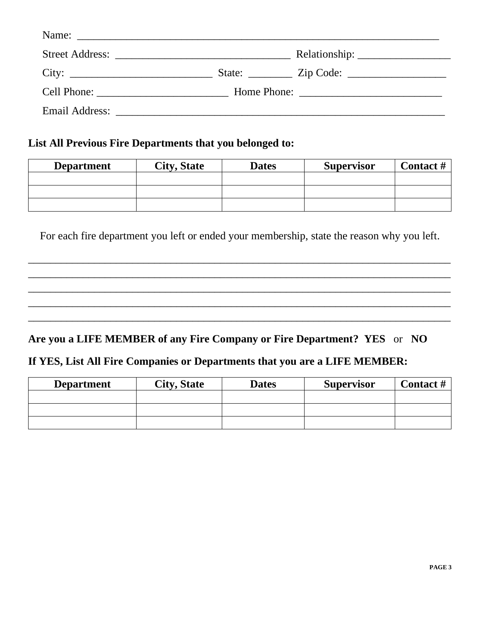| City:                                                                                                                                                                                                                         | State: <u>Zip Code:</u> |
|-------------------------------------------------------------------------------------------------------------------------------------------------------------------------------------------------------------------------------|-------------------------|
| Cell Phone:                                                                                                                                                                                                                   |                         |
| Email Address: New York 1988 and 2008 and 2008 and 2008 and 2008 and 2008 and 2008 and 2008 and 2008 and 2008 and 2008 and 2008 and 2008 and 2008 and 2008 and 2008 and 2008 and 2008 and 2008 and 2008 and 2008 and 2008 and |                         |

#### **List All Previous Fire Departments that you belonged to:**

| <b>Department</b> | <b>City, State</b> | <b>Dates</b> | <b>Supervisor</b> | <b>Contact #</b> |
|-------------------|--------------------|--------------|-------------------|------------------|
|                   |                    |              |                   |                  |
|                   |                    |              |                   |                  |
|                   |                    |              |                   |                  |

For each fire department you left or ended your membership, state the reason why you left.

\_\_\_\_\_\_\_\_\_\_\_\_\_\_\_\_\_\_\_\_\_\_\_\_\_\_\_\_\_\_\_\_\_\_\_\_\_\_\_\_\_\_\_\_\_\_\_\_\_\_\_\_\_\_\_\_\_\_\_\_\_\_\_\_\_\_\_\_\_\_\_\_\_\_\_\_\_ \_\_\_\_\_\_\_\_\_\_\_\_\_\_\_\_\_\_\_\_\_\_\_\_\_\_\_\_\_\_\_\_\_\_\_\_\_\_\_\_\_\_\_\_\_\_\_\_\_\_\_\_\_\_\_\_\_\_\_\_\_\_\_\_\_\_\_\_\_\_\_\_\_\_\_\_\_ \_\_\_\_\_\_\_\_\_\_\_\_\_\_\_\_\_\_\_\_\_\_\_\_\_\_\_\_\_\_\_\_\_\_\_\_\_\_\_\_\_\_\_\_\_\_\_\_\_\_\_\_\_\_\_\_\_\_\_\_\_\_\_\_\_\_\_\_\_\_\_\_\_\_\_\_\_ \_\_\_\_\_\_\_\_\_\_\_\_\_\_\_\_\_\_\_\_\_\_\_\_\_\_\_\_\_\_\_\_\_\_\_\_\_\_\_\_\_\_\_\_\_\_\_\_\_\_\_\_\_\_\_\_\_\_\_\_\_\_\_\_\_\_\_\_\_\_\_\_\_\_\_\_\_ \_\_\_\_\_\_\_\_\_\_\_\_\_\_\_\_\_\_\_\_\_\_\_\_\_\_\_\_\_\_\_\_\_\_\_\_\_\_\_\_\_\_\_\_\_\_\_\_\_\_\_\_\_\_\_\_\_\_\_\_\_\_\_\_\_\_\_\_\_\_\_\_\_\_\_\_\_

#### **Are you a LIFE MEMBER of any Fire Company or Fire Department? YES** or **NO**

#### **If YES, List All Fire Companies or Departments that you are a LIFE MEMBER:**

| <b>Department</b> | <b>City, State</b> | <b>Dates</b> | <b>Supervisor</b> | <b>Contact #</b> |
|-------------------|--------------------|--------------|-------------------|------------------|
|                   |                    |              |                   |                  |
|                   |                    |              |                   |                  |
|                   |                    |              |                   |                  |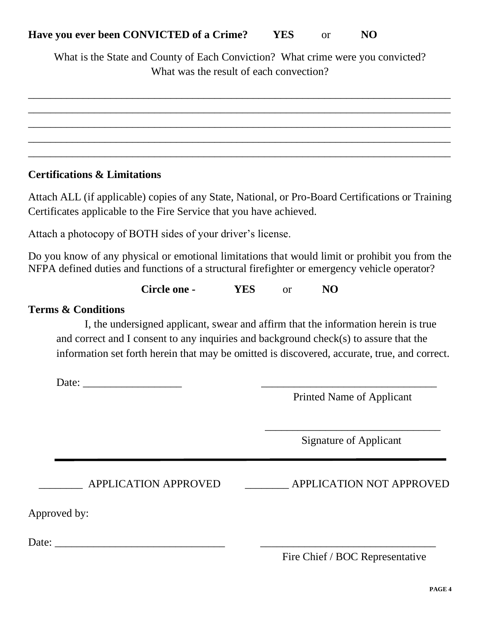What is the State and County of Each Conviction? What crime were you convicted? What was the result of each convection?

\_\_\_\_\_\_\_\_\_\_\_\_\_\_\_\_\_\_\_\_\_\_\_\_\_\_\_\_\_\_\_\_\_\_\_\_\_\_\_\_\_\_\_\_\_\_\_\_\_\_\_\_\_\_\_\_\_\_\_\_\_\_\_\_\_\_\_\_\_\_\_\_\_\_\_\_\_ \_\_\_\_\_\_\_\_\_\_\_\_\_\_\_\_\_\_\_\_\_\_\_\_\_\_\_\_\_\_\_\_\_\_\_\_\_\_\_\_\_\_\_\_\_\_\_\_\_\_\_\_\_\_\_\_\_\_\_\_\_\_\_\_\_\_\_\_\_\_\_\_\_\_\_\_\_ \_\_\_\_\_\_\_\_\_\_\_\_\_\_\_\_\_\_\_\_\_\_\_\_\_\_\_\_\_\_\_\_\_\_\_\_\_\_\_\_\_\_\_\_\_\_\_\_\_\_\_\_\_\_\_\_\_\_\_\_\_\_\_\_\_\_\_\_\_\_\_\_\_\_\_\_\_ \_\_\_\_\_\_\_\_\_\_\_\_\_\_\_\_\_\_\_\_\_\_\_\_\_\_\_\_\_\_\_\_\_\_\_\_\_\_\_\_\_\_\_\_\_\_\_\_\_\_\_\_\_\_\_\_\_\_\_\_\_\_\_\_\_\_\_\_\_\_\_\_\_\_\_\_\_ \_\_\_\_\_\_\_\_\_\_\_\_\_\_\_\_\_\_\_\_\_\_\_\_\_\_\_\_\_\_\_\_\_\_\_\_\_\_\_\_\_\_\_\_\_\_\_\_\_\_\_\_\_\_\_\_\_\_\_\_\_\_\_\_\_\_\_\_\_\_\_\_\_\_\_\_\_

#### **Certifications & Limitations**

Attach ALL (if applicable) copies of any State, National, or Pro-Board Certifications or Training Certificates applicable to the Fire Service that you have achieved.

Attach a photocopy of BOTH sides of your driver's license.

Do you know of any physical or emotional limitations that would limit or prohibit you from the NFPA defined duties and functions of a structural firefighter or emergency vehicle operator?

**Circle one - YES** or **NO**

#### **Terms & Conditions**

I, the undersigned applicant, swear and affirm that the information herein is true and correct and I consent to any inquiries and background check(s) to assure that the information set forth herein that may be omitted is discovered, accurate, true, and correct.

Date: \_\_\_\_\_\_\_\_\_\_\_\_\_\_\_\_\_\_ \_\_\_\_\_\_\_\_\_\_\_\_\_\_\_\_\_\_\_\_\_\_\_\_\_\_\_\_\_\_\_\_

Printed Name of Applicant

Signature of Applicant

\_\_\_\_\_\_\_\_\_\_\_\_\_\_\_\_\_\_\_\_\_\_\_\_\_\_\_\_\_\_\_\_

APPLICATION APPROVED **APPLICATION NOT APPROVED** 

Approved by:

Date:

#### Fire Chief / BOC Representative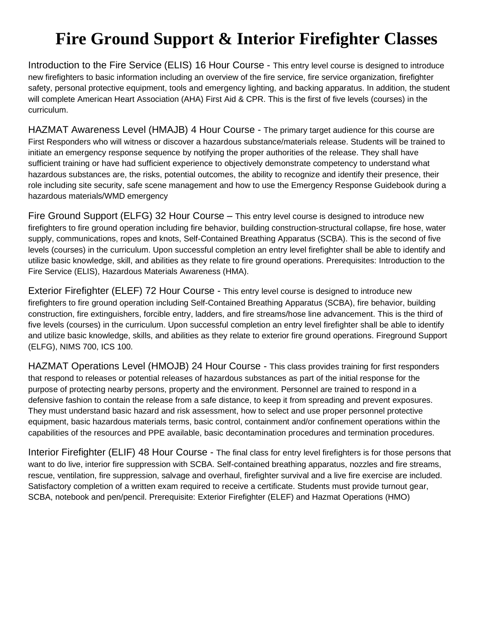## **Fire Ground Support & Interior Firefighter Classes**

Introduction to the Fire Service (ELIS) 16 Hour Course - This entry level course is designed to introduce new firefighters to basic information including an overview of the fire service, fire service organization, firefighter safety, personal protective equipment, tools and emergency lighting, and backing apparatus. In addition, the student will complete American Heart Association (AHA) First Aid & CPR. This is the first of five levels (courses) in the curriculum.

HAZMAT Awareness Level (HMAJB) 4 Hour Course - The primary target audience for this course are First Responders who will witness or discover a hazardous substance/materials release. Students will be trained to initiate an emergency response sequence by notifying the proper authorities of the release. They shall have sufficient training or have had sufficient experience to objectively demonstrate competency to understand what hazardous substances are, the risks, potential outcomes, the ability to recognize and identify their presence, their role including site security, safe scene management and how to use the Emergency Response Guidebook during a hazardous materials/WMD emergency

Fire Ground Support (ELFG) 32 Hour Course – This entry level course is designed to introduce new firefighters to fire ground operation including fire behavior, building construction-structural collapse, fire hose, water supply, communications, ropes and knots, Self-Contained Breathing Apparatus (SCBA). This is the second of five levels (courses) in the curriculum. Upon successful completion an entry level firefighter shall be able to identify and utilize basic knowledge, skill, and abilities as they relate to fire ground operations. Prerequisites: Introduction to the Fire Service (ELIS), Hazardous Materials Awareness (HMA).

Exterior Firefighter (ELEF) 72 Hour Course - This entry level course is designed to introduce new firefighters to fire ground operation including Self-Contained Breathing Apparatus (SCBA), fire behavior, building construction, fire extinguishers, forcible entry, ladders, and fire streams/hose line advancement. This is the third of five levels (courses) in the curriculum. Upon successful completion an entry level firefighter shall be able to identify and utilize basic knowledge, skills, and abilities as they relate to exterior fire ground operations. Fireground Support (ELFG), NIMS 700, ICS 100.

HAZMAT Operations Level (HMOJB) 24 Hour Course - This class provides training for first responders that respond to releases or potential releases of hazardous substances as part of the initial response for the purpose of protecting nearby persons, property and the environment. Personnel are trained to respond in a defensive fashion to contain the release from a safe distance, to keep it from spreading and prevent exposures. They must understand basic hazard and risk assessment, how to select and use proper personnel protective equipment, basic hazardous materials terms, basic control, containment and/or confinement operations within the capabilities of the resources and PPE available, basic decontamination procedures and termination procedures.

Interior Firefighter (ELIF) 48 Hour Course - The final class for entry level firefighters is for those persons that want to do live, interior fire suppression with SCBA. Self-contained breathing apparatus, nozzles and fire streams, rescue, ventilation, fire suppression, salvage and overhaul, firefighter survival and a live fire exercise are included. Satisfactory completion of a written exam required to receive a certificate. Students must provide turnout gear, SCBA, notebook and pen/pencil. Prerequisite: Exterior Firefighter (ELEF) and Hazmat Operations (HMO)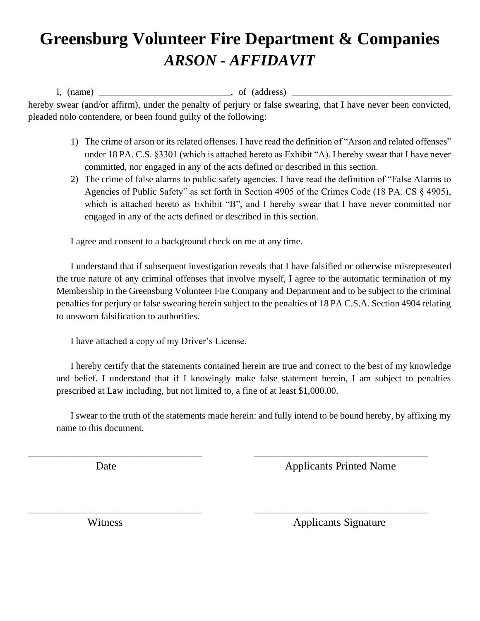## **Greensburg Volunteer Fire Department & Companies** *ARSON - AFFIDAVIT*

 $I, (name)$   $\longrightarrow$   $of (address)$ hereby swear (and/or affirm), under the penalty of perjury or false swearing, that I have never been convicted,

- 1) The crime of arson or its related offenses. I have read the definition of "Arson and related offenses" under 18 PA. C.S. §3301 (which is attached hereto as Exhibit "A). I hereby swear that I have never committed, nor engaged in any of the acts defined or described in this section.
	- 2) The crime of false alarms to public safety agencies. I have read the definition of "False Alarms to Agencies of Public Safety" as set forth in Section 4905 of the Crimes Code (18 PA. CS § 4905), which is attached hereto as Exhibit "B", and I hereby swear that I have never committed nor engaged in any of the acts defined or described in this section.

I agree and consent to a background check on me at any time.

I understand that if subsequent investigation reveals that I have falsified or otherwise misrepresented the true nature of any criminal offenses that involve myself, I agree to the automatic termination of my Membership in the Greensburg Volunteer Fire Company and Department and to be subject to the criminal penalties for perjury or false swearing herein subject to the penalties of 18 PA C.S.A. Section 4904 relating to unsworn falsification to authorities.

I have attached a copy of my Driver's License.

pleaded nolo contendere, or been found guilty of the following:

I hereby certify that the statements contained herein are true and correct to the best of my knowledge and belief. I understand that if I knowingly make false statement herein, I am subject to penalties prescribed at Law including, but not limited to, a fine of at least \$1,000.00.

I swear to the truth of the statements made herein: and fully intend to be bound hereby, by affixing my name to this document.

\_\_\_\_\_\_\_\_\_\_\_\_\_\_\_\_\_\_\_\_\_\_\_\_\_\_\_\_\_\_\_\_\_\_\_\_\_ \_\_\_\_\_\_\_\_\_\_\_\_\_\_\_\_\_\_\_\_\_\_\_\_\_\_\_\_\_\_\_\_\_\_\_\_\_

\_\_\_\_\_\_\_\_\_\_\_\_\_\_\_\_\_\_\_\_\_\_\_\_\_\_\_\_\_\_\_\_\_\_\_\_\_ \_\_\_\_\_\_\_\_\_\_\_\_\_\_\_\_\_\_\_\_\_\_\_\_\_\_\_\_\_\_\_\_\_\_\_\_\_

**Date** *Applicants Printed Name* 

Witness Applicants Signature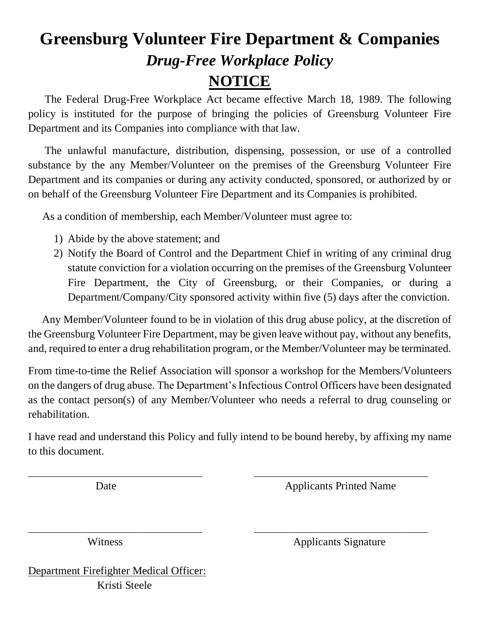## **Greensburg Volunteer Fire Department & Companies** *Drug-Free Workplace Policy* **NOTICE**

 The Federal Drug-Free Workplace Act became effective March 18, 1989. The following policy is instituted for the purpose of bringing the policies of Greensburg Volunteer Fire Department and its Companies into compliance with that law.

 The unlawful manufacture, distribution, dispensing, possession, or use of a controlled substance by the any Member/Volunteer on the premises of the Greensburg Volunteer Fire Department and its companies or during any activity conducted, sponsored, or authorized by or on behalf of the Greensburg Volunteer Fire Department and its Companies is prohibited.

As a condition of membership, each Member/Volunteer must agree to:

- 1) Abide by the above statement; and
- 2) Notify the Board of Control and the Department Chief in writing of any criminal drug statute conviction for a violation occurring on the premises of the Greensburg Volunteer Fire Department, the City of Greensburg, or their Companies, or during a Department/Company/City sponsored activity within five (5) days after the conviction.

 Any Member/Volunteer found to be in violation of this drug abuse policy, at the discretion of the Greensburg Volunteer Fire Department, may be given leave without pay, without any benefits, and, required to enter a drug rehabilitation program, or the Member/Volunteer may be terminated.

From time-to-time the Relief Association will sponsor a workshop for the Members/Volunteers on the dangers of drug abuse. The Department's Infectious Control Officers have been designated as the contact person(s) of any Member/Volunteer who needs a referral to drug counseling or rehabilitation.

I have read and understand this Policy and fully intend to be bound hereby, by affixing my name to this document.

\_\_\_\_\_\_\_\_\_\_\_\_\_\_\_\_\_\_\_\_\_\_\_\_\_\_\_\_\_\_\_\_\_\_\_\_\_ \_\_\_\_\_\_\_\_\_\_\_\_\_\_\_\_\_\_\_\_\_\_\_\_\_\_\_\_\_\_\_\_\_\_\_\_\_

\_\_\_\_\_\_\_\_\_\_\_\_\_\_\_\_\_\_\_\_\_\_\_\_\_\_\_\_\_\_\_\_\_\_\_\_\_ \_\_\_\_\_\_\_\_\_\_\_\_\_\_\_\_\_\_\_\_\_\_\_\_\_\_\_\_\_\_\_\_\_\_\_\_\_

**Date** *Applicants Printed Name* 

Witness **Applicants** Signature

Department Firefighter Medical Officer: Kristi Steele